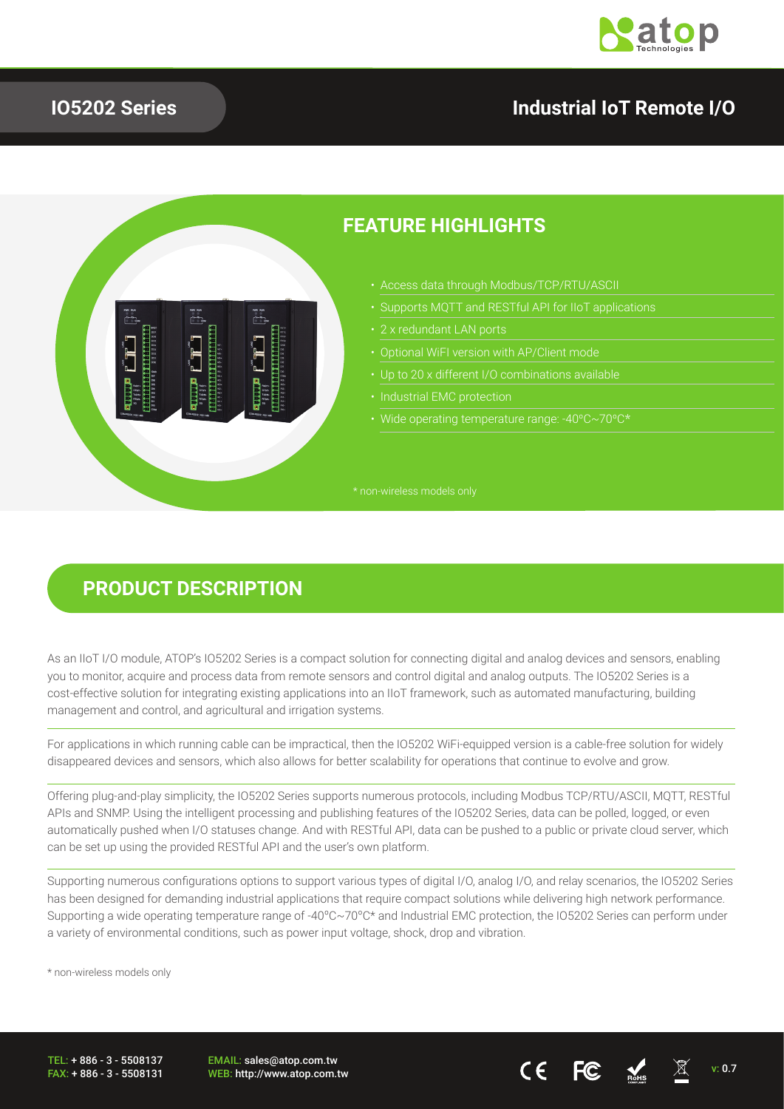

#### **IO5202 Series**

## **Industrial IoT Remote I/O**



#### **FEATURE HIGHLIGHTS**

- Access data through Modbus/TCP/RTU/ASCII
- Supports MQTT and RESTful API for IIoT applications
- 
- 
- 
- 
- Wide operating temperature range: -40ºC~70ºC\*

#### **PRODUCT DESCRIPTION**

As an IIoT I/O module, ATOP's IO5202 Series is a compact solution for connecting digital and analog devices and sensors, enabling you to monitor, acquire and process data from remote sensors and control digital and analog outputs. The IO5202 Series is a cost-effective solution for integrating existing applications into an IIoT framework, such as automated manufacturing, building management and control, and agricultural and irrigation systems.

For applications in which running cable can be impractical, then the IO5202 WiFi-equipped version is a cable-free solution for widely disappeared devices and sensors, which also allows for better scalability for operations that continue to evolve and grow.

Offering plug-and-play simplicity, the IO5202 Series supports numerous protocols, including Modbus TCP/RTU/ASCII, MQTT, RESTful APIs and SNMP. Using the intelligent processing and publishing features of the IO5202 Series, data can be polled, logged, or even automatically pushed when I/O statuses change. And with RESTful API, data can be pushed to a public or private cloud server, which can be set up using the provided RESTful API and the user's own platform.

Supporting numerous configurations options to support various types of digital I/O, analog I/O, and relay scenarios, the IO5202 Series has been designed for demanding industrial applications that require compact solutions while delivering high network performance. Supporting a wide operating temperature range of -40ºC~70ºC\* and Industrial EMC protection, the IO5202 Series can perform under a variety of environmental conditions, such as power input voltage, shock, drop and vibration.

\* non-wireless models only

TEL: + 886 - 3 - 5508137  $FAX + 886 - 3 - 5508131$  EMAIL: sales@atop.com.tw EWAIL. Sales@atop.com.tw  $\overline{\mathbf{v}}$  with  $\overline{\mathbf{v}}$  and  $\overline{\mathbf{v}}$  and  $\overline{\mathbf{v}}$  and  $\overline{\mathbf{v}}$  and  $\overline{\mathbf{v}}$  and  $\overline{\mathbf{v}}$  and  $\overline{\mathbf{v}}$  and  $\overline{\mathbf{v}}$  and  $\overline{\mathbf{v}}$  and  $\overline{\mathbf{v}}$  and  $\overline{\mathbf{v}}$  and  $\over$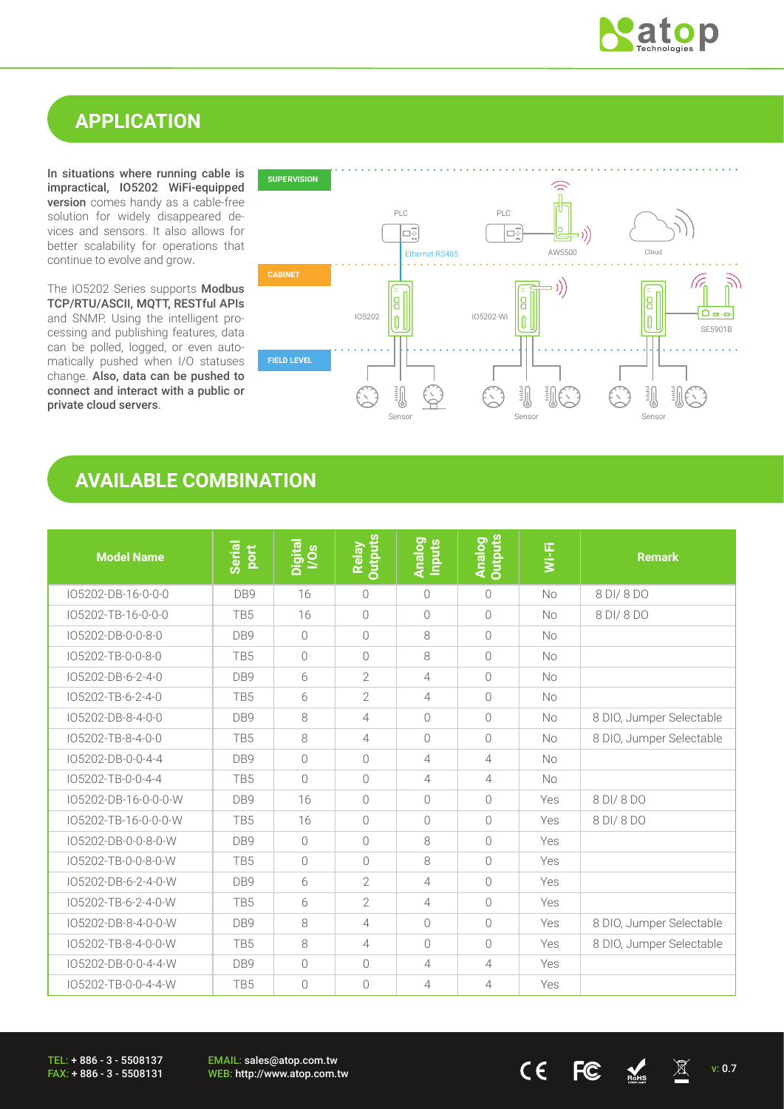

## **APPLICATION**

In situations where running cable is impractical, IO5202 WiFi-equipped version comes handy as a cable-free solution for widely disappeared devices and sensors. It also allows for better scalability for operations that continue to evolve and grow.

The IO5202 Series supports Modbus TCP/RTU/ASCII, MQTT, RESTful APIs and SNMP. Using the intelligent processing and publishing features, data can be polled, logged, or even automatically pushed when I/O statuses change. Also, data can be pushed to connect and interact with a public or private cloud servers.



#### **AVAILABLE COMBINATION**

| <b>Model Name</b>    | <b>Serial</b><br><b>port</b> | Digital<br>I/Os | <b>Outputs</b><br>Relay | <b>Analog</b><br>Inputs | <b>Analog</b><br>Outputs | Wi-Fi     | <b>Remark</b>            |
|----------------------|------------------------------|-----------------|-------------------------|-------------------------|--------------------------|-----------|--------------------------|
| IO5202-DB-16-0-0-0   | DB9                          | 16              | $\bigcirc$              | $\bigcirc$              | $\bigcirc$               | No        | 8 DI/ 8 DO               |
| IO5202-TB-16-0-0-0   | TB <sub>5</sub>              | 16              | $\overline{0}$          | $\bigcirc$              | $\bigcirc$               | <b>No</b> | 8 DI/ 8 DO               |
| IO5202-DB-0-0-8-0    | DB <sub>9</sub>              | $\bigcirc$      | $\bigcirc$              | 8                       | $\bigcirc$               | <b>No</b> |                          |
| IO5202-TB-0-0-8-0    | TB <sub>5</sub>              | $\bigcirc$      | $\bigcirc$              | 8                       | $\bigcirc$               | No        |                          |
| IO5202-DB-6-2-4-0    | DB <sub>9</sub>              | 6               | $\overline{2}$          | $\overline{4}$          | $\bigcirc$               | <b>No</b> |                          |
| IO5202-TB-6-2-4-0    | TB <sub>5</sub>              | 6               | $\overline{2}$          | 4                       | $\bigcirc$               | <b>No</b> |                          |
| IO5202-DB-8-4-0-0    | DB <sub>9</sub>              | 8               | $\overline{4}$          | $\bigcirc$              | $\bigcirc$               | <b>No</b> | 8 DIO, Jumper Selectable |
| IO5202-TB-8-4-0-0    | TB <sub>5</sub>              | 8               | $\overline{4}$          | $\bigcirc$              | $\bigcirc$               | <b>No</b> | 8 DIO, Jumper Selectable |
| IO5202-DB-0-0-4-4    | DB9                          | $\bigcap$       | $\bigcirc$              | $\overline{4}$          | $\overline{4}$           | <b>No</b> |                          |
| IO5202-TB-0-0-4-4    | TB <sub>5</sub>              | $\bigcap$       | $\bigcirc$              | $\overline{4}$          | $\overline{4}$           | <b>No</b> |                          |
| IO5202-DB-16-0-0-0-W | DB <sub>9</sub>              | 16              | $\bigcirc$              | $\bigcap$               | $\bigcap$                | Yes       | 8 DI/ 8 DO               |
| IO5202-TB-16-0-0-0-W | TB <sub>5</sub>              | 16              | $\bigcap$               | $\bigcap$               | $\bigcap$                | Yes       | 8 DI/ 8 DO               |
| IO5202-DB-0-0-8-0-W  | DB9                          | $\sqrt{a}$      | $\bigcirc$              | 8                       | $\bigcap$                | Yes       |                          |
| IO5202-TB-0-0-8-0-W  | TB <sub>5</sub>              | $\bigcirc$      | $\bigcirc$              | 8                       | $\bigcap$                | Yes       |                          |
| IO5202-DB-6-2-4-0-W  | DB9                          | 6               | $\overline{2}$          | 4                       | $\bigcap$                | Yes       |                          |
| IO5202-TB-6-2-4-0-W  | TB <sub>5</sub>              | 6               | $\overline{2}$          | $\overline{4}$          | $\bigcap$                | Yes       |                          |
| IO5202-DB-8-4-0-0-W  | DB9                          | 8               | 4                       | $\bigcap$               | $\bigcap$                | Yes       | 8 DIO, Jumper Selectable |
| IO5202-TB-8-4-0-0-W  | TB <sub>5</sub>              | 8               | 4                       | $\bigcap$               | $\bigcap$                | Yes       | 8 DIO, Jumper Selectable |
| IO5202-DB-0-0-4-4-W  | DB <sub>9</sub>              | $\bigcirc$      | $\sqrt{a}$              | 4                       | $\overline{4}$           | Yes       |                          |
| IO5202-TB-0-0-4-4-W  | TB5                          | $\bigcirc$      | $\bigcap$               | 4                       | $\overline{4}$           | Yes       |                          |

TEL: + 886 - 3 - 5508137 FAX: + 886 - 3 - 5508131 EMAIL: sales@atop.com.tw

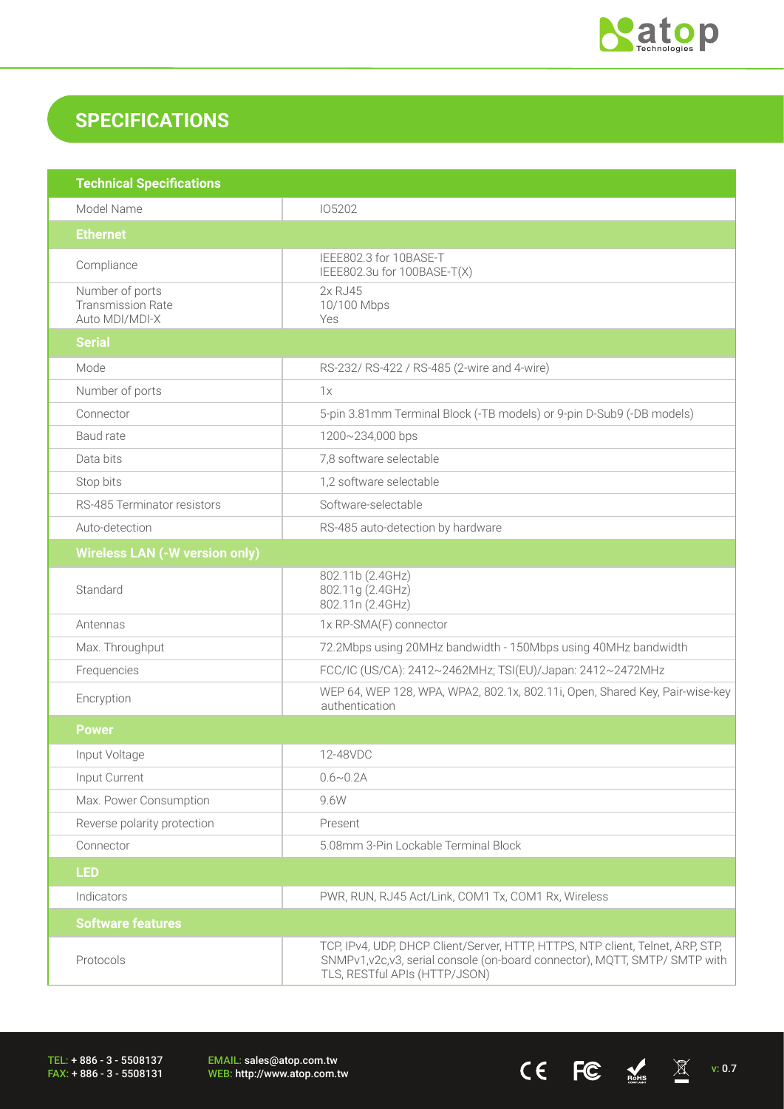

 $CE$  FC  $M_{\text{miss}}$   $\overline{\mathbb{X}}$  v: 0.7

# **SPECIFICATIONS**

| <b>Technical Specifications</b>                               |                                                                                                                                                                                                |
|---------------------------------------------------------------|------------------------------------------------------------------------------------------------------------------------------------------------------------------------------------------------|
| Model Name                                                    | 105202                                                                                                                                                                                         |
| <b>Ethernet</b>                                               |                                                                                                                                                                                                |
| Compliance                                                    | IEEE802.3 for 10BASE-T<br>IEEE802.3u for 100BASE-T(X)                                                                                                                                          |
| Number of ports<br><b>Transmission Rate</b><br>Auto MDI/MDI-X | 2x RJ45<br>10/100 Mbps<br>Yes                                                                                                                                                                  |
| <b>Serial</b>                                                 |                                                                                                                                                                                                |
| Mode                                                          | RS-232/ RS-422 / RS-485 (2-wire and 4-wire)                                                                                                                                                    |
| Number of ports                                               | 1x                                                                                                                                                                                             |
| Connector                                                     | 5-pin 3.81mm Terminal Block (-TB models) or 9-pin D-Sub9 (-DB models)                                                                                                                          |
| Baud rate                                                     | 1200~234,000 bps                                                                                                                                                                               |
| Data bits                                                     | 7,8 software selectable                                                                                                                                                                        |
| Stop bits                                                     | 1,2 software selectable                                                                                                                                                                        |
| RS-485 Terminator resistors                                   | Software-selectable                                                                                                                                                                            |
| Auto-detection                                                | RS-485 auto-detection by hardware                                                                                                                                                              |
| <b>Wireless LAN (-W version only)</b>                         |                                                                                                                                                                                                |
| Standard                                                      | 802.11b (2.4GHz)<br>802.11g (2.4GHz)<br>802.11n (2.4GHz)                                                                                                                                       |
| Antennas                                                      | 1x RP-SMA(F) connector                                                                                                                                                                         |
| Max. Throughput                                               | 72.2Mbps using 20MHz bandwidth - 150Mbps using 40MHz bandwidth                                                                                                                                 |
| Frequencies                                                   | FCC/IC (US/CA): 2412~2462MHz; TSI(EU)/Japan: 2412~2472MHz                                                                                                                                      |
| Encryption                                                    | WEP 64, WEP 128, WPA, WPA2, 802.1x, 802.11i, Open, Shared Key, Pair-wise-key<br>authentication                                                                                                 |
| <b>Power</b>                                                  |                                                                                                                                                                                                |
| Input Voltage                                                 | 12-48VDC                                                                                                                                                                                       |
| Input Current                                                 | $0.6 \sim 0.2$ A                                                                                                                                                                               |
| Max. Power Consumption                                        | 9.6W                                                                                                                                                                                           |
| Reverse polarity protection                                   | Present                                                                                                                                                                                        |
| Connector                                                     | 5.08mm 3-Pin Lockable Terminal Block                                                                                                                                                           |
| <b>LED</b>                                                    |                                                                                                                                                                                                |
| Indicators                                                    | PWR, RUN, RJ45 Act/Link, COM1 Tx, COM1 Rx, Wireless                                                                                                                                            |
| <b>Software features</b>                                      |                                                                                                                                                                                                |
| Protocols                                                     | TCP, IPv4, UDP, DHCP Client/Server, HTTP, HTTPS, NTP client, Telnet, ARP, STP,<br>SNMPv1, v2c, v3, serial console (on-board connector), MQTT, SMTP/ SMTP with<br>TLS, RESTful APIs (HTTP/JSON) |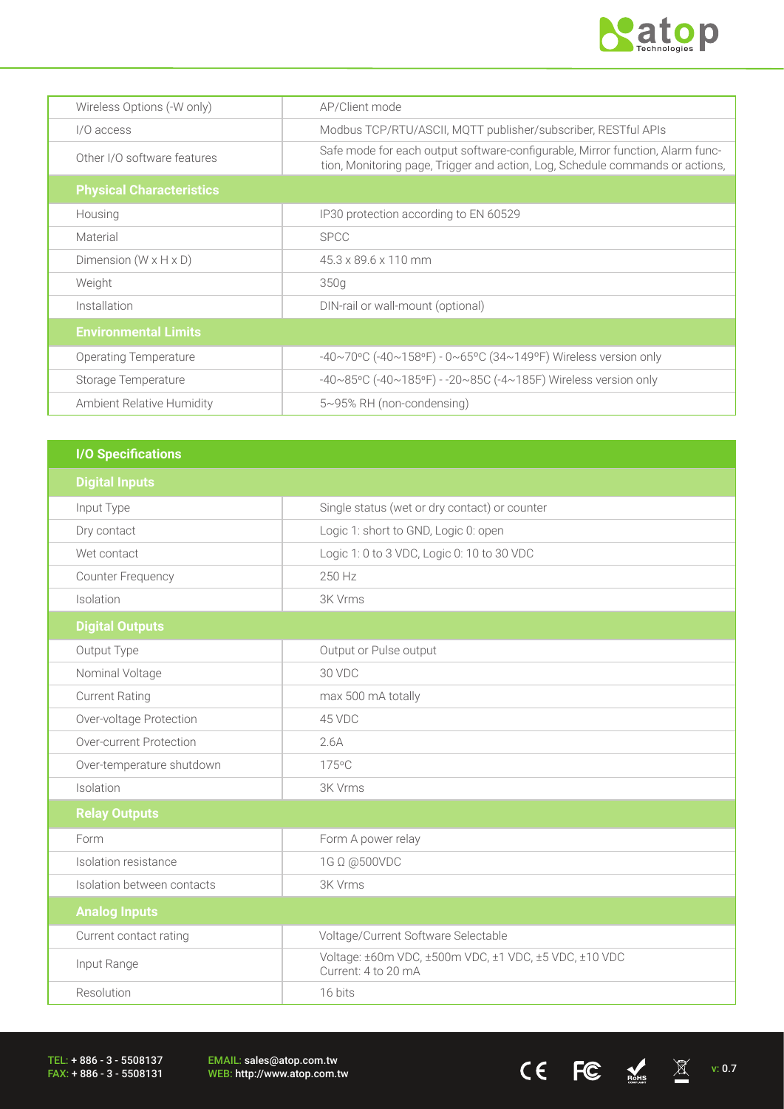

 $CE$  FC  $M_{\text{miss}}$   $\Xi$  v: 0.7

| Wireless Options (-W only)        | AP/Client mode                                                                                                                                                 |
|-----------------------------------|----------------------------------------------------------------------------------------------------------------------------------------------------------------|
| I/O access                        | Modbus TCP/RTU/ASCII, MQTT publisher/subscriber, RESTful APIs                                                                                                  |
| Other I/O software features       | Safe mode for each output software-configurable, Mirror function, Alarm func-<br>tion, Monitoring page, Trigger and action, Log, Schedule commands or actions, |
| <b>Physical Characteristics</b>   |                                                                                                                                                                |
| Housing                           | IP30 protection according to EN 60529                                                                                                                          |
| Material                          | <b>SPCC</b>                                                                                                                                                    |
| Dimension $(W \times H \times D)$ | $45.3 \times 89.6 \times 110$ mm                                                                                                                               |
| Weight                            | 350g                                                                                                                                                           |
| Installation                      | DIN-rail or wall-mount (optional)                                                                                                                              |
| <b>Environmental Limits</b>       |                                                                                                                                                                |
| Operating Temperature             | -40~70°C (-40~158°F) - 0~65°C (34~149°F) Wireless version only                                                                                                 |
| Storage Temperature               | -40~85°C (-40~185°F) - -20~85C (-4~185F) Wireless version only                                                                                                 |
| Ambient Relative Humidity         | 5~95% RH (non-condensing)                                                                                                                                      |

| <b>I/O Specifications</b>  |                                                                              |
|----------------------------|------------------------------------------------------------------------------|
| <b>Digital Inputs</b>      |                                                                              |
| Input Type                 | Single status (wet or dry contact) or counter                                |
| Dry contact                | Logic 1: short to GND, Logic 0: open                                         |
| Wet contact                | Logic 1: 0 to 3 VDC, Logic 0: 10 to 30 VDC                                   |
| Counter Frequency          | 250 Hz                                                                       |
| Isolation                  | 3K Vrms                                                                      |
| <b>Digital Outputs</b>     |                                                                              |
| Output Type                | Output or Pulse output                                                       |
| Nominal Voltage            | 30 VDC                                                                       |
| <b>Current Rating</b>      | max 500 mA totally                                                           |
| Over-voltage Protection    | 45 VDC                                                                       |
| Over-current Protection    | 2.6A                                                                         |
| Over-temperature shutdown  | 175°C                                                                        |
| Isolation                  | 3K Vrms                                                                      |
| <b>Relay Outputs</b>       |                                                                              |
| Form                       | Form A power relay                                                           |
| Isolation resistance       | 1G Ω @500VDC                                                                 |
| Isolation between contacts | 3K Vrms                                                                      |
| <b>Analog Inputs</b>       |                                                                              |
| Current contact rating     | Voltage/Current Software Selectable                                          |
| Input Range                | Voltage: ±60m VDC, ±500m VDC, ±1 VDC, ±5 VDC, ±10 VDC<br>Current: 4 to 20 mA |
| Resolution                 | 16 bits                                                                      |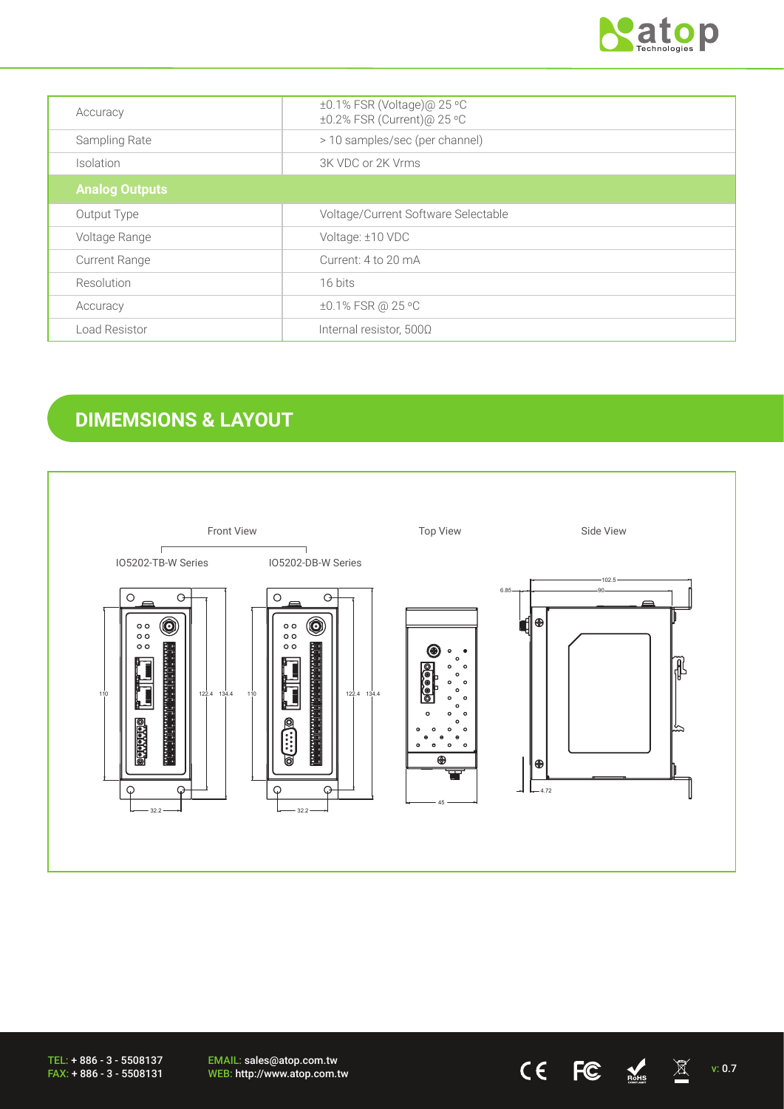

| Accuracy              | ±0.1% FSR (Voltage)@ 25 °C<br>±0.2% FSR (Current)@ 25 °C |
|-----------------------|----------------------------------------------------------|
| Sampling Rate         | > 10 samples/sec (per channel)                           |
| Isolation             | 3K VDC or 2K Vrms                                        |
| <b>Analog Outputs</b> |                                                          |
| Output Type           | Voltage/Current Software Selectable                      |
| Voltage Range         | Voltage: ±10 VDC                                         |
| <b>Current Range</b>  | Current: 4 to 20 mA                                      |
| Resolution            | 16 bits                                                  |
| Accuracy              | ±0.1% FSR @ 25 °C                                        |
| Load Resistor         | Internal resistor, $500\Omega$                           |

# **DIMEMSIONS & LAYOUT**



EMAIL: sales@atop.com.tw EMAIL: sales@atop.com.tw  $V$  **CE**  $V$ : 0.7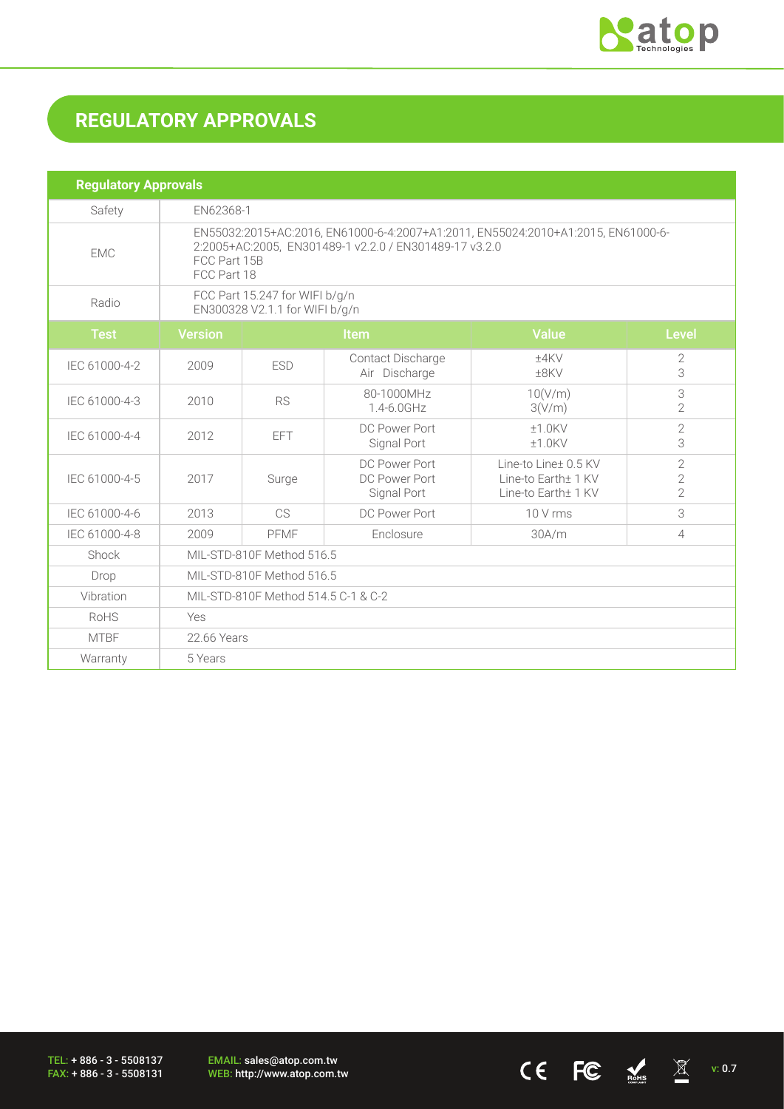

 $CE$  FC  $M_{\text{miss}}$   $\overline{\mathbb{X}}$  v: 0.7

# **REGULATORY APPROVALS**

| <b>Regulatory Approvals</b> |                                                                                                                                                                           |            |                                               |                                                                    |                                                |  |
|-----------------------------|---------------------------------------------------------------------------------------------------------------------------------------------------------------------------|------------|-----------------------------------------------|--------------------------------------------------------------------|------------------------------------------------|--|
| Safety                      | EN62368-1                                                                                                                                                                 |            |                                               |                                                                    |                                                |  |
| <b>EMC</b>                  | EN55032:2015+AC:2016, EN61000-6-4:2007+A1:2011, EN55024:2010+A1:2015, EN61000-6-<br>2:2005+AC:2005, EN301489-1 v2.2.0 / EN301489-17 v3.2.0<br>FCC Part 15B<br>FCC Part 18 |            |                                               |                                                                    |                                                |  |
| Radio                       | FCC Part 15.247 for WIFI b/g/n<br>EN300328 V2.1.1 for WIFI b/g/n                                                                                                          |            |                                               |                                                                    |                                                |  |
| <b>Test</b>                 | <b>Version</b>                                                                                                                                                            |            | Item                                          | <b>Value</b>                                                       | <b>Level</b>                                   |  |
| IEC 61000-4-2               | 2009                                                                                                                                                                      | <b>ESD</b> | Contact Discharge<br>Air Discharge            | $±4$ KV<br>$±8$ KV                                                 | 2<br>3                                         |  |
| IEC 61000-4-3               | 2010                                                                                                                                                                      | <b>RS</b>  | 80-1000MHz<br>1.4-6.0GHz                      | 10(V/m)<br>3(V/m)                                                  | 3<br>$\overline{2}$                            |  |
| IEC 61000-4-4               | 2012                                                                                                                                                                      | <b>EFT</b> | DC Power Port<br>Signal Port                  | $±1.0$ KV<br>$±1.0$ KV                                             | $\overline{2}$<br>3                            |  |
| IEC 61000-4-5               | 2017                                                                                                                                                                      | Surge      | DC Power Port<br>DC Power Port<br>Signal Port | Line-to Line+ 0.5 KV<br>Line-to Earth± 1 KV<br>Line-to Earth± 1 KV | $\sqrt{2}$<br>$\overline{2}$<br>$\overline{2}$ |  |
| IEC 61000-4-6               | 2013                                                                                                                                                                      | CS         | DC Power Port                                 | 10 V rms                                                           | 3                                              |  |
| IEC 61000-4-8               | 2009                                                                                                                                                                      | PFMF       | Enclosure                                     | 30A/m                                                              | $\overline{4}$                                 |  |
| Shock                       | MIL-STD-810F Method 516.5                                                                                                                                                 |            |                                               |                                                                    |                                                |  |
| Drop                        | MIL-STD-810F Method 516.5                                                                                                                                                 |            |                                               |                                                                    |                                                |  |
| Vibration                   | MIL-STD-810F Method 514.5 C-1 & C-2                                                                                                                                       |            |                                               |                                                                    |                                                |  |
| RoHS                        | Yes                                                                                                                                                                       |            |                                               |                                                                    |                                                |  |
| <b>MTBF</b>                 | 22.66 Years                                                                                                                                                               |            |                                               |                                                                    |                                                |  |
| Warranty                    | 5 Years                                                                                                                                                                   |            |                                               |                                                                    |                                                |  |